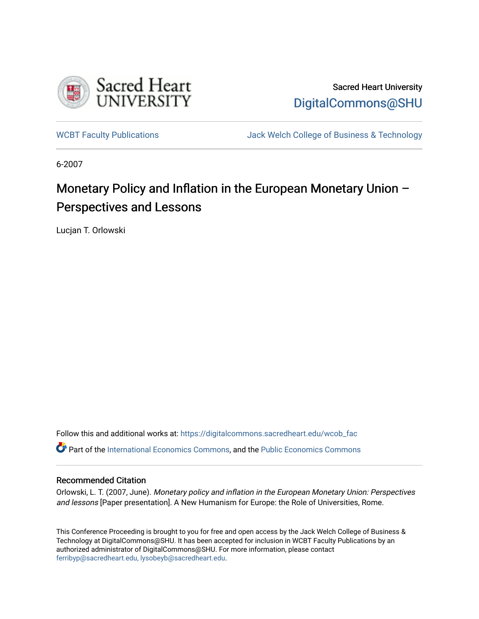

Sacred Heart University [DigitalCommons@SHU](https://digitalcommons.sacredheart.edu/) 

[WCBT Faculty Publications](https://digitalcommons.sacredheart.edu/wcob_fac) **MEGAL STACK Welch College of Business & Technology** 

6-2007

# Monetary Policy and Inflation in the European Monetary Union – Perspectives and Lessons

Lucjan T. Orlowski

Follow this and additional works at: [https://digitalcommons.sacredheart.edu/wcob\\_fac](https://digitalcommons.sacredheart.edu/wcob_fac?utm_source=digitalcommons.sacredheart.edu%2Fwcob_fac%2F618&utm_medium=PDF&utm_campaign=PDFCoverPages) Part of the [International Economics Commons,](http://network.bepress.com/hgg/discipline/348?utm_source=digitalcommons.sacredheart.edu%2Fwcob_fac%2F618&utm_medium=PDF&utm_campaign=PDFCoverPages) and the [Public Economics Commons](http://network.bepress.com/hgg/discipline/351?utm_source=digitalcommons.sacredheart.edu%2Fwcob_fac%2F618&utm_medium=PDF&utm_campaign=PDFCoverPages) 

#### Recommended Citation

Orlowski, L. T. (2007, June). Monetary policy and inflation in the European Monetary Union: Perspectives and lessons [Paper presentation]. A New Humanism for Europe: the Role of Universities, Rome.

This Conference Proceeding is brought to you for free and open access by the Jack Welch College of Business & Technology at DigitalCommons@SHU. It has been accepted for inclusion in WCBT Faculty Publications by an authorized administrator of DigitalCommons@SHU. For more information, please contact [ferribyp@sacredheart.edu, lysobeyb@sacredheart.edu.](mailto:ferribyp@sacredheart.edu,%20lysobeyb@sacredheart.edu)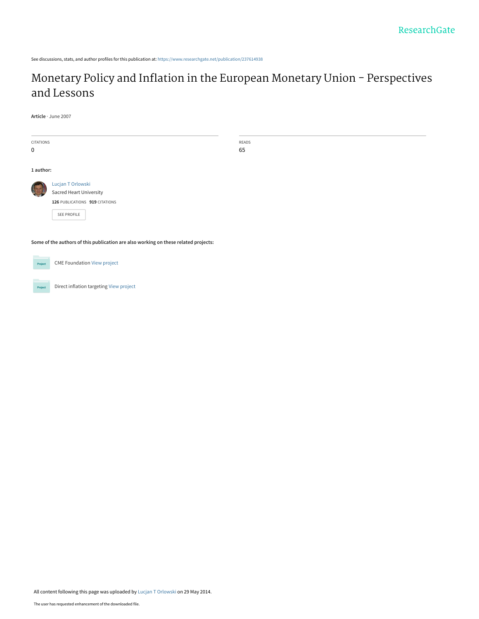See discussions, stats, and author profiles for this publication at: [https://www.researchgate.net/publication/237614938](https://www.researchgate.net/publication/237614938_Monetary_Policy_and_Inflation_in_the_European_Monetary_Union_-_Perspectives_and_Lessons?enrichId=rgreq-42141f3cc85fc154dfe003310cd619b1-XXX&enrichSource=Y292ZXJQYWdlOzIzNzYxNDkzODtBUzoxMDIyODMyNjIwMzgwMjJAMTQwMTM5NzYzODU0Mw%3D%3D&el=1_x_2&_esc=publicationCoverPdf)

# [Monetary Policy and Inflation in the European Monetary Union - Perspectives](https://www.researchgate.net/publication/237614938_Monetary_Policy_and_Inflation_in_the_European_Monetary_Union_-_Perspectives_and_Lessons?enrichId=rgreq-42141f3cc85fc154dfe003310cd619b1-XXX&enrichSource=Y292ZXJQYWdlOzIzNzYxNDkzODtBUzoxMDIyODMyNjIwMzgwMjJAMTQwMTM5NzYzODU0Mw%3D%3D&el=1_x_3&_esc=publicationCoverPdf) and Lessons

**Article** · June 2007

| CITATIONS<br>$\mathbf 0$                                                            |                                                                                                      | READS<br>65 |  |  |  |
|-------------------------------------------------------------------------------------|------------------------------------------------------------------------------------------------------|-------------|--|--|--|
| 1 author:                                                                           |                                                                                                      |             |  |  |  |
|                                                                                     | Lucjan T Orlowski<br><b>Sacred Heart University</b><br>126 PUBLICATIONS 919 CITATIONS<br>SEE PROFILE |             |  |  |  |
| Some of the authors of this publication are also working on these related projects: |                                                                                                      |             |  |  |  |



Direct inflation targeting [View project](https://www.researchgate.net/project/Direct-inflation-targeting?enrichId=rgreq-42141f3cc85fc154dfe003310cd619b1-XXX&enrichSource=Y292ZXJQYWdlOzIzNzYxNDkzODtBUzoxMDIyODMyNjIwMzgwMjJAMTQwMTM5NzYzODU0Mw%3D%3D&el=1_x_9&_esc=publicationCoverPdf) Project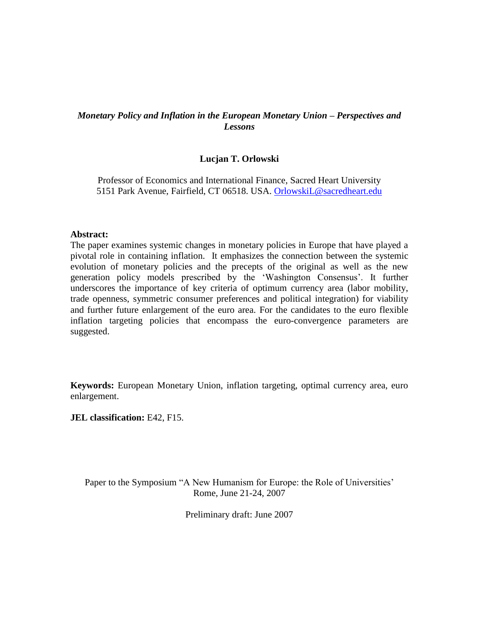## *Monetary Policy and Inflation in the European Monetary Union – Perspectives and Lessons*

## **Lucjan T. Orlowski**

Professor of Economics and International Finance, Sacred Heart University 5151 Park Avenue, Fairfield, CT 06518. USA. [OrlowskiL@sacredheart.edu](mailto:OrlowskiL@sacredheart.edu)

#### **Abstract:**

The paper examines systemic changes in monetary policies in Europe that have played a pivotal role in containing inflation. It emphasizes the connection between the systemic evolution of monetary policies and the precepts of the original as well as the new generation policy models prescribed by the 'Washington Consensus'. It further underscores the importance of key criteria of optimum currency area (labor mobility, trade openness, symmetric consumer preferences and political integration) for viability and further future enlargement of the euro area. For the candidates to the euro flexible inflation targeting policies that encompass the euro-convergence parameters are suggested.

**Keywords:** European Monetary Union, inflation targeting, optimal currency area, euro enlargement.

**JEL classification:** E42, F15.

Paper to the Symposium "A New Humanism for Europe: the Role of Universities' Rome, June 21-24, 2007

Preliminary draft: June 2007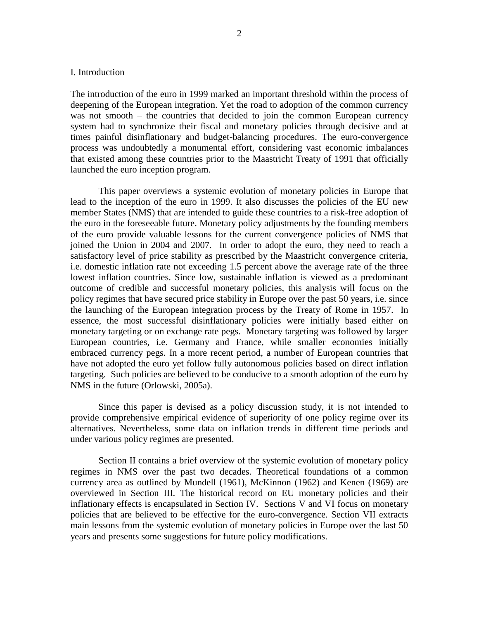#### I. Introduction

The introduction of the euro in 1999 marked an important threshold within the process of deepening of the European integration. Yet the road to adoption of the common currency was not smooth – the countries that decided to join the common European currency system had to synchronize their fiscal and monetary policies through decisive and at times painful disinflationary and budget-balancing procedures. The euro-convergence process was undoubtedly a monumental effort, considering vast economic imbalances that existed among these countries prior to the Maastricht Treaty of 1991 that officially launched the euro inception program.

This paper overviews a systemic evolution of monetary policies in Europe that lead to the inception of the euro in 1999. It also discusses the policies of the EU new member States (NMS) that are intended to guide these countries to a risk-free adoption of the euro in the foreseeable future. Monetary policy adjustments by the founding members of the euro provide valuable lessons for the current convergence policies of NMS that joined the Union in 2004 and 2007. In order to adopt the euro, they need to reach a satisfactory level of price stability as prescribed by the Maastricht convergence criteria, i.e. domestic inflation rate not exceeding 1.5 percent above the average rate of the three lowest inflation countries. Since low, sustainable inflation is viewed as a predominant outcome of credible and successful monetary policies, this analysis will focus on the policy regimes that have secured price stability in Europe over the past 50 years, i.e. since the launching of the European integration process by the Treaty of Rome in 1957. In essence, the most successful disinflationary policies were initially based either on monetary targeting or on exchange rate pegs. Monetary targeting was followed by larger European countries, i.e. Germany and France, while smaller economies initially embraced currency pegs. In a more recent period, a number of European countries that have not adopted the euro yet follow fully autonomous policies based on direct inflation targeting. Such policies are believed to be conducive to a smooth adoption of the euro by NMS in the future (Orlowski, 2005a).

Since this paper is devised as a policy discussion study, it is not intended to provide comprehensive empirical evidence of superiority of one policy regime over its alternatives. Nevertheless, some data on inflation trends in different time periods and under various policy regimes are presented.

Section II contains a brief overview of the systemic evolution of monetary policy regimes in NMS over the past two decades. Theoretical foundations of a common currency area as outlined by Mundell (1961), McKinnon (1962) and Kenen (1969) are overviewed in Section III. The historical record on EU monetary policies and their inflationary effects is encapsulated in Section IV. Sections V and VI focus on monetary policies that are believed to be effective for the euro-convergence. Section VII extracts main lessons from the systemic evolution of monetary policies in Europe over the last 50 years and presents some suggestions for future policy modifications.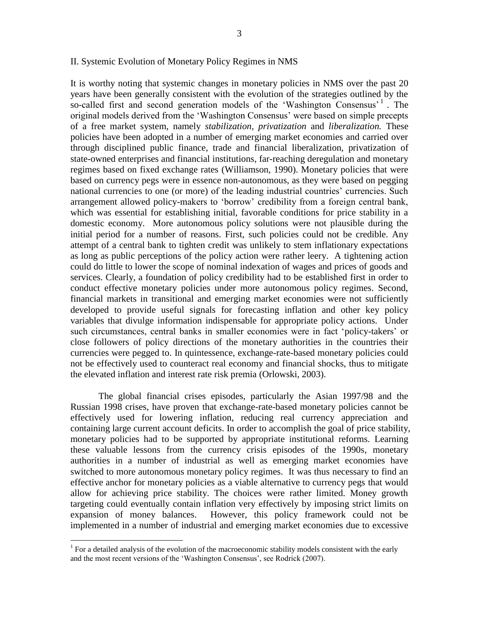#### II. Systemic Evolution of Monetary Policy Regimes in NMS

It is worthy noting that systemic changes in monetary policies in NMS over the past 20 years have been generally consistent with the evolution of the strategies outlined by the so-called first and second generation models of the 'Washington Consensus'<sup>1</sup>. The original models derived from the 'Washington Consensus' were based on simple precepts of a free market system, namely *stabilization, privatization* and *liberalization.* These policies have been adopted in a number of emerging market economies and carried over through disciplined public finance, trade and financial liberalization, privatization of state-owned enterprises and financial institutions, far-reaching deregulation and monetary regimes based on fixed exchange rates (Williamson, 1990). Monetary policies that were based on currency pegs were in essence non-autonomous, as they were based on pegging national currencies to one (or more) of the leading industrial countries' currencies. Such arrangement allowed policy-makers to 'borrow' credibility from a foreign central bank, which was essential for establishing initial, favorable conditions for price stability in a domestic economy. More autonomous policy solutions were not plausible during the initial period for a number of reasons. First, such policies could not be credible. Any attempt of a central bank to tighten credit was unlikely to stem inflationary expectations as long as public perceptions of the policy action were rather leery. A tightening action could do little to lower the scope of nominal indexation of wages and prices of goods and services. Clearly, a foundation of policy credibility had to be established first in order to conduct effective monetary policies under more autonomous policy regimes. Second, financial markets in transitional and emerging market economies were not sufficiently developed to provide useful signals for forecasting inflation and other key policy variables that divulge information indispensable for appropriate policy actions. Under such circumstances, central banks in smaller economies were in fact 'policy-takers' or close followers of policy directions of the monetary authorities in the countries their currencies were pegged to. In quintessence, exchange-rate-based monetary policies could not be effectively used to counteract real economy and financial shocks, thus to mitigate the elevated inflation and interest rate risk premia (Orlowski, 2003).

The global financial crises episodes, particularly the Asian 1997/98 and the Russian 1998 crises, have proven that exchange-rate-based monetary policies cannot be effectively used for lowering inflation, reducing real currency appreciation and containing large current account deficits. In order to accomplish the goal of price stability, monetary policies had to be supported by appropriate institutional reforms. Learning these valuable lessons from the currency crisis episodes of the 1990s, monetary authorities in a number of industrial as well as emerging market economies have switched to more autonomous monetary policy regimes. It was thus necessary to find an effective anchor for monetary policies as a viable alternative to currency pegs that would allow for achieving price stability. The choices were rather limited. Money growth targeting could eventually contain inflation very effectively by imposing strict limits on expansion of money balances. However, this policy framework could not be implemented in a number of industrial and emerging market economies due to excessive

 $\overline{a}$ 

<sup>&</sup>lt;sup>1</sup> For a detailed analysis of the evolution of the macroeconomic stability models consistent with the early and the most recent versions of the 'Washington Consensus', see Rodrick (2007).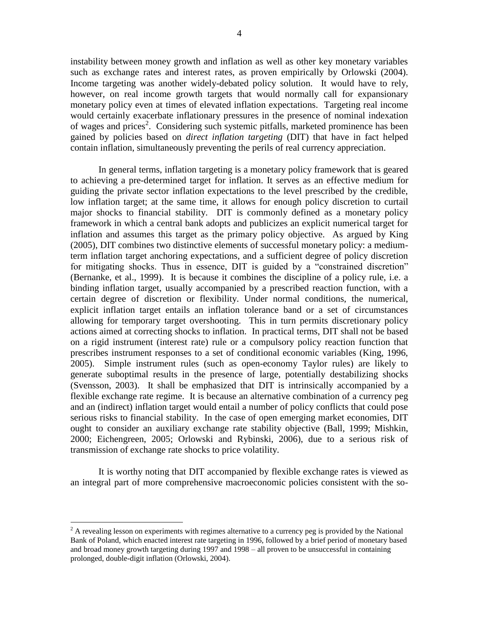instability between money growth and inflation as well as other key monetary variables such as exchange rates and interest rates, as proven empirically by Orlowski (2004). Income targeting was another widely-debated policy solution. It would have to rely, however, on real income growth targets that would normally call for expansionary monetary policy even at times of elevated inflation expectations. Targeting real income would certainly exacerbate inflationary pressures in the presence of nominal indexation of wages and prices<sup>2</sup>. Considering such systemic pitfalls, marketed prominence has been gained by policies based on *direct inflation targeting* (DIT) that have in fact helped contain inflation, simultaneously preventing the perils of real currency appreciation.

In general terms, inflation targeting is a monetary policy framework that is geared to achieving a pre-determined target for inflation. It serves as an effective medium for guiding the private sector inflation expectations to the level prescribed by the credible, low inflation target; at the same time, it allows for enough policy discretion to curtail major shocks to financial stability. DIT is commonly defined as a monetary policy framework in which a central bank adopts and publicizes an explicit numerical target for inflation and assumes this target as the primary policy objective. As argued by King (2005), DIT combines two distinctive elements of successful monetary policy: a mediumterm inflation target anchoring expectations, and a sufficient degree of policy discretion for mitigating shocks. Thus in essence, DIT is guided by a "constrained discretion" (Bernanke, et al., 1999). It is because it combines the discipline of a policy rule, i.e. a binding inflation target, usually accompanied by a prescribed reaction function, with a certain degree of discretion or flexibility. Under normal conditions, the numerical, explicit inflation target entails an inflation tolerance band or a set of circumstances allowing for temporary target overshooting. This in turn permits discretionary policy actions aimed at correcting shocks to inflation. In practical terms, DIT shall not be based on a rigid instrument (interest rate) rule or a compulsory policy reaction function that prescribes instrument responses to a set of conditional economic variables (King, 1996, 2005). Simple instrument rules (such as open-economy Taylor rules) are likely to generate suboptimal results in the presence of large, potentially destabilizing shocks (Svensson, 2003). It shall be emphasized that DIT is intrinsically accompanied by a flexible exchange rate regime. It is because an alternative combination of a currency peg and an (indirect) inflation target would entail a number of policy conflicts that could pose serious risks to financial stability. In the case of open emerging market economies, DIT ought to consider an auxiliary exchange rate stability objective (Ball, 1999; Mishkin, 2000; Eichengreen, 2005; Orlowski and Rybinski, 2006), due to a serious risk of transmission of exchange rate shocks to price volatility.

It is worthy noting that DIT accompanied by flexible exchange rates is viewed as an integral part of more comprehensive macroeconomic policies consistent with the so-

 $\overline{a}$ 

 $2^2$  A revealing lesson on experiments with regimes alternative to a currency peg is provided by the National Bank of Poland, which enacted interest rate targeting in 1996, followed by a brief period of monetary based and broad money growth targeting during 1997 and 1998 – all proven to be unsuccessful in containing prolonged, double-digit inflation (Orlowski, 2004).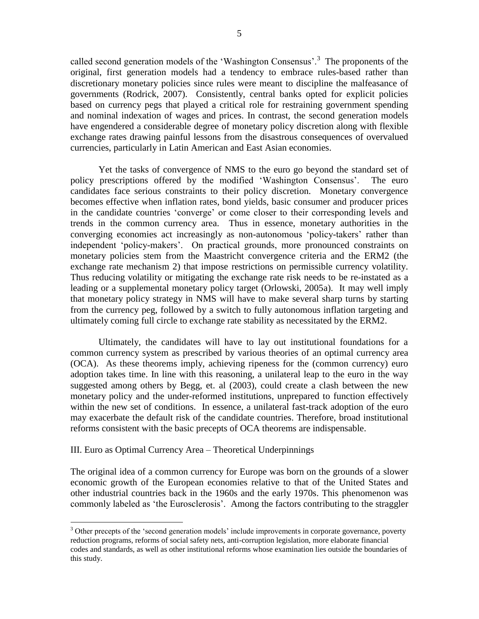called second generation models of the 'Washington Consensus'.<sup>3</sup> The proponents of the original, first generation models had a tendency to embrace rules-based rather than discretionary monetary policies since rules were meant to discipline the malfeasance of governments (Rodrick, 2007). Consistently, central banks opted for explicit policies based on currency pegs that played a critical role for restraining government spending and nominal indexation of wages and prices. In contrast, the second generation models have engendered a considerable degree of monetary policy discretion along with flexible exchange rates drawing painful lessons from the disastrous consequences of overvalued currencies, particularly in Latin American and East Asian economies.

Yet the tasks of convergence of NMS to the euro go beyond the standard set of policy prescriptions offered by the modified 'Washington Consensus'. The euro candidates face serious constraints to their policy discretion. Monetary convergence becomes effective when inflation rates, bond yields, basic consumer and producer prices in the candidate countries 'converge' or come closer to their corresponding levels and trends in the common currency area. Thus in essence, monetary authorities in the converging economies act increasingly as non-autonomous 'policy-takers' rather than independent 'policy-makers'. On practical grounds, more pronounced constraints on monetary policies stem from the Maastricht convergence criteria and the ERM2 (the exchange rate mechanism 2) that impose restrictions on permissible currency volatility. Thus reducing volatility or mitigating the exchange rate risk needs to be re-instated as a leading or a supplemental monetary policy target (Orlowski, 2005a). It may well imply that monetary policy strategy in NMS will have to make several sharp turns by starting from the currency peg, followed by a switch to fully autonomous inflation targeting and ultimately coming full circle to exchange rate stability as necessitated by the ERM2.

Ultimately, the candidates will have to lay out institutional foundations for a common currency system as prescribed by various theories of an optimal currency area (OCA). As these theorems imply, achieving ripeness for the (common currency) euro adoption takes time. In line with this reasoning, a unilateral leap to the euro in the way suggested among others by Begg, et. al (2003), could create a clash between the new monetary policy and the under-reformed institutions, unprepared to function effectively within the new set of conditions. In essence, a unilateral fast-track adoption of the euro may exacerbate the default risk of the candidate countries. Therefore, broad institutional reforms consistent with the basic precepts of OCA theorems are indispensable.

#### III. Euro as Optimal Currency Area – Theoretical Underpinnings

 $\overline{a}$ 

The original idea of a common currency for Europe was born on the grounds of a slower economic growth of the European economies relative to that of the United States and other industrial countries back in the 1960s and the early 1970s. This phenomenon was commonly labeled as 'the Eurosclerosis'. Among the factors contributing to the straggler

<sup>&</sup>lt;sup>3</sup> Other precepts of the 'second generation models' include improvements in corporate governance, poverty reduction programs, reforms of social safety nets, anti-corruption legislation, more elaborate financial codes and standards, as well as other institutional reforms whose examination lies outside the boundaries of this study.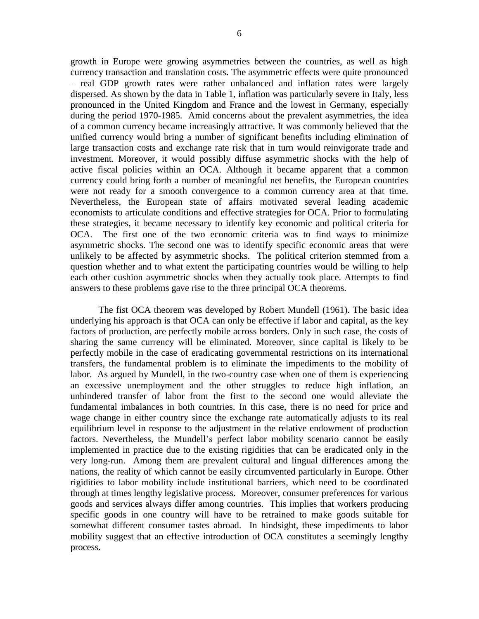growth in Europe were growing asymmetries between the countries, as well as high currency transaction and translation costs. The asymmetric effects were quite pronounced – real GDP growth rates were rather unbalanced and inflation rates were largely dispersed. As shown by the data in Table 1, inflation was particularly severe in Italy, less pronounced in the United Kingdom and France and the lowest in Germany, especially during the period 1970-1985. Amid concerns about the prevalent asymmetries, the idea of a common currency became increasingly attractive. It was commonly believed that the unified currency would bring a number of significant benefits including elimination of large transaction costs and exchange rate risk that in turn would reinvigorate trade and investment. Moreover, it would possibly diffuse asymmetric shocks with the help of active fiscal policies within an OCA. Although it became apparent that a common currency could bring forth a number of meaningful net benefits, the European countries were not ready for a smooth convergence to a common currency area at that time. Nevertheless, the European state of affairs motivated several leading academic economists to articulate conditions and effective strategies for OCA. Prior to formulating these strategies, it became necessary to identify key economic and political criteria for OCA. The first one of the two economic criteria was to find ways to minimize asymmetric shocks. The second one was to identify specific economic areas that were unlikely to be affected by asymmetric shocks. The political criterion stemmed from a question whether and to what extent the participating countries would be willing to help each other cushion asymmetric shocks when they actually took place. Attempts to find answers to these problems gave rise to the three principal OCA theorems.

The fist OCA theorem was developed by Robert Mundell (1961). The basic idea underlying his approach is that OCA can only be effective if labor and capital, as the key factors of production, are perfectly mobile across borders. Only in such case, the costs of sharing the same currency will be eliminated. Moreover, since capital is likely to be perfectly mobile in the case of eradicating governmental restrictions on its international transfers, the fundamental problem is to eliminate the impediments to the mobility of labor. As argued by Mundell, in the two-country case when one of them is experiencing an excessive unemployment and the other struggles to reduce high inflation, an unhindered transfer of labor from the first to the second one would alleviate the fundamental imbalances in both countries. In this case, there is no need for price and wage change in either country since the exchange rate automatically adjusts to its real equilibrium level in response to the adjustment in the relative endowment of production factors. Nevertheless, the Mundell's perfect labor mobility scenario cannot be easily implemented in practice due to the existing rigidities that can be eradicated only in the very long-run. Among them are prevalent cultural and lingual differences among the nations, the reality of which cannot be easily circumvented particularly in Europe. Other rigidities to labor mobility include institutional barriers, which need to be coordinated through at times lengthy legislative process. Moreover, consumer preferences for various goods and services always differ among countries. This implies that workers producing specific goods in one country will have to be retrained to make goods suitable for somewhat different consumer tastes abroad. In hindsight, these impediments to labor mobility suggest that an effective introduction of OCA constitutes a seemingly lengthy process.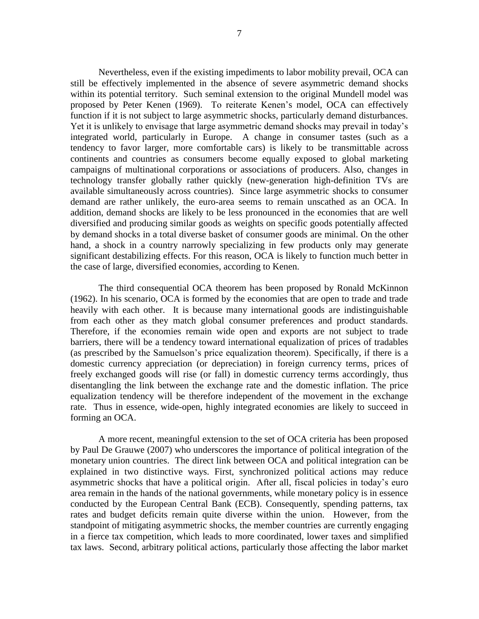Nevertheless, even if the existing impediments to labor mobility prevail, OCA can still be effectively implemented in the absence of severe asymmetric demand shocks within its potential territory. Such seminal extension to the original Mundell model was proposed by Peter Kenen (1969). To reiterate Kenen's model, OCA can effectively function if it is not subject to large asymmetric shocks, particularly demand disturbances. Yet it is unlikely to envisage that large asymmetric demand shocks may prevail in today's integrated world, particularly in Europe. A change in consumer tastes (such as a tendency to favor larger, more comfortable cars) is likely to be transmittable across continents and countries as consumers become equally exposed to global marketing campaigns of multinational corporations or associations of producers. Also, changes in technology transfer globally rather quickly (new-generation high-definition TVs are available simultaneously across countries). Since large asymmetric shocks to consumer demand are rather unlikely, the euro-area seems to remain unscathed as an OCA. In addition, demand shocks are likely to be less pronounced in the economies that are well diversified and producing similar goods as weights on specific goods potentially affected by demand shocks in a total diverse basket of consumer goods are minimal. On the other hand, a shock in a country narrowly specializing in few products only may generate significant destabilizing effects. For this reason, OCA is likely to function much better in the case of large, diversified economies, according to Kenen.

The third consequential OCA theorem has been proposed by Ronald McKinnon (1962). In his scenario, OCA is formed by the economies that are open to trade and trade heavily with each other. It is because many international goods are indistinguishable from each other as they match global consumer preferences and product standards. Therefore, if the economies remain wide open and exports are not subject to trade barriers, there will be a tendency toward international equalization of prices of tradables (as prescribed by the Samuelson's price equalization theorem). Specifically, if there is a domestic currency appreciation (or depreciation) in foreign currency terms, prices of freely exchanged goods will rise (or fall) in domestic currency terms accordingly, thus disentangling the link between the exchange rate and the domestic inflation. The price equalization tendency will be therefore independent of the movement in the exchange rate. Thus in essence, wide-open, highly integrated economies are likely to succeed in forming an OCA.

A more recent, meaningful extension to the set of OCA criteria has been proposed by Paul De Grauwe (2007) who underscores the importance of political integration of the monetary union countries. The direct link between OCA and political integration can be explained in two distinctive ways. First, synchronized political actions may reduce asymmetric shocks that have a political origin. After all, fiscal policies in today's euro area remain in the hands of the national governments, while monetary policy is in essence conducted by the European Central Bank (ECB). Consequently, spending patterns, tax rates and budget deficits remain quite diverse within the union. However, from the standpoint of mitigating asymmetric shocks, the member countries are currently engaging in a fierce tax competition, which leads to more coordinated, lower taxes and simplified tax laws. Second, arbitrary political actions, particularly those affecting the labor market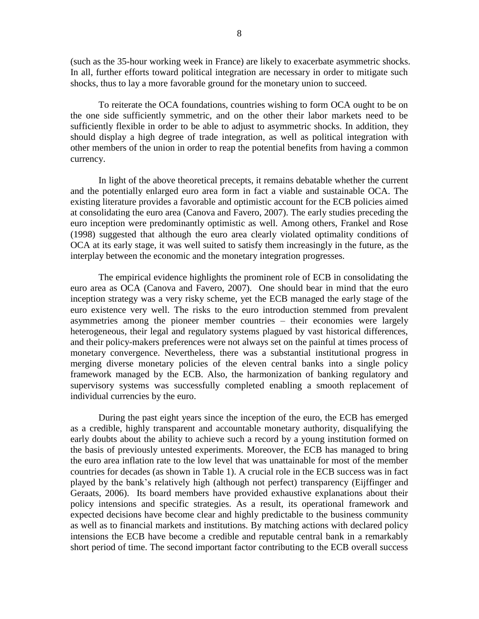(such as the 35-hour working week in France) are likely to exacerbate asymmetric shocks. In all, further efforts toward political integration are necessary in order to mitigate such shocks, thus to lay a more favorable ground for the monetary union to succeed.

To reiterate the OCA foundations, countries wishing to form OCA ought to be on the one side sufficiently symmetric, and on the other their labor markets need to be sufficiently flexible in order to be able to adjust to asymmetric shocks. In addition, they should display a high degree of trade integration, as well as political integration with other members of the union in order to reap the potential benefits from having a common currency.

In light of the above theoretical precepts, it remains debatable whether the current and the potentially enlarged euro area form in fact a viable and sustainable OCA. The existing literature provides a favorable and optimistic account for the ECB policies aimed at consolidating the euro area (Canova and Favero, 2007). The early studies preceding the euro inception were predominantly optimistic as well. Among others, Frankel and Rose (1998) suggested that although the euro area clearly violated optimality conditions of OCA at its early stage, it was well suited to satisfy them increasingly in the future, as the interplay between the economic and the monetary integration progresses.

The empirical evidence highlights the prominent role of ECB in consolidating the euro area as OCA (Canova and Favero, 2007). One should bear in mind that the euro inception strategy was a very risky scheme, yet the ECB managed the early stage of the euro existence very well. The risks to the euro introduction stemmed from prevalent asymmetries among the pioneer member countries – their economies were largely heterogeneous, their legal and regulatory systems plagued by vast historical differences, and their policy-makers preferences were not always set on the painful at times process of monetary convergence. Nevertheless, there was a substantial institutional progress in merging diverse monetary policies of the eleven central banks into a single policy framework managed by the ECB. Also, the harmonization of banking regulatory and supervisory systems was successfully completed enabling a smooth replacement of individual currencies by the euro.

During the past eight years since the inception of the euro, the ECB has emerged as a credible, highly transparent and accountable monetary authority, disqualifying the early doubts about the ability to achieve such a record by a young institution formed on the basis of previously untested experiments. Moreover, the ECB has managed to bring the euro area inflation rate to the low level that was unattainable for most of the member countries for decades (as shown in Table 1). A crucial role in the ECB success was in fact played by the bank's relatively high (although not perfect) transparency (Eijffinger and Geraats, 2006). Its board members have provided exhaustive explanations about their policy intensions and specific strategies. As a result, its operational framework and expected decisions have become clear and highly predictable to the business community as well as to financial markets and institutions. By matching actions with declared policy intensions the ECB have become a credible and reputable central bank in a remarkably short period of time. The second important factor contributing to the ECB overall success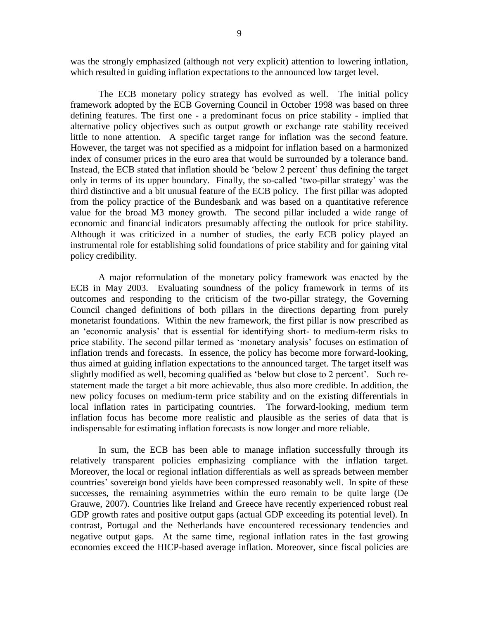was the strongly emphasized (although not very explicit) attention to lowering inflation, which resulted in guiding inflation expectations to the announced low target level.

The ECB monetary policy strategy has evolved as well. The initial policy framework adopted by the ECB Governing Council in October 1998 was based on three defining features. The first one - a predominant focus on price stability - implied that alternative policy objectives such as output growth or exchange rate stability received little to none attention. A specific target range for inflation was the second feature. However, the target was not specified as a midpoint for inflation based on a harmonized index of consumer prices in the euro area that would be surrounded by a tolerance band. Instead, the ECB stated that inflation should be 'below 2 percent' thus defining the target only in terms of its upper boundary. Finally, the so-called 'two-pillar strategy' was the third distinctive and a bit unusual feature of the ECB policy. The first pillar was adopted from the policy practice of the Bundesbank and was based on a quantitative reference value for the broad M3 money growth. The second pillar included a wide range of economic and financial indicators presumably affecting the outlook for price stability. Although it was criticized in a number of studies, the early ECB policy played an instrumental role for establishing solid foundations of price stability and for gaining vital policy credibility.

A major reformulation of the monetary policy framework was enacted by the ECB in May 2003. Evaluating soundness of the policy framework in terms of its outcomes and responding to the criticism of the two-pillar strategy, the Governing Council changed definitions of both pillars in the directions departing from purely monetarist foundations. Within the new framework, the first pillar is now prescribed as an 'economic analysis' that is essential for identifying short- to medium-term risks to price stability. The second pillar termed as 'monetary analysis' focuses on estimation of inflation trends and forecasts. In essence, the policy has become more forward-looking, thus aimed at guiding inflation expectations to the announced target. The target itself was slightly modified as well, becoming qualified as 'below but close to 2 percent'. Such restatement made the target a bit more achievable, thus also more credible. In addition, the new policy focuses on medium-term price stability and on the existing differentials in local inflation rates in participating countries. The forward-looking, medium term inflation focus has become more realistic and plausible as the series of data that is indispensable for estimating inflation forecasts is now longer and more reliable.

In sum, the ECB has been able to manage inflation successfully through its relatively transparent policies emphasizing compliance with the inflation target. Moreover, the local or regional inflation differentials as well as spreads between member countries' sovereign bond yields have been compressed reasonably well. In spite of these successes, the remaining asymmetries within the euro remain to be quite large (De Grauwe, 2007). Countries like Ireland and Greece have recently experienced robust real GDP growth rates and positive output gaps (actual GDP exceeding its potential level). In contrast, Portugal and the Netherlands have encountered recessionary tendencies and negative output gaps. At the same time, regional inflation rates in the fast growing economies exceed the HICP-based average inflation. Moreover, since fiscal policies are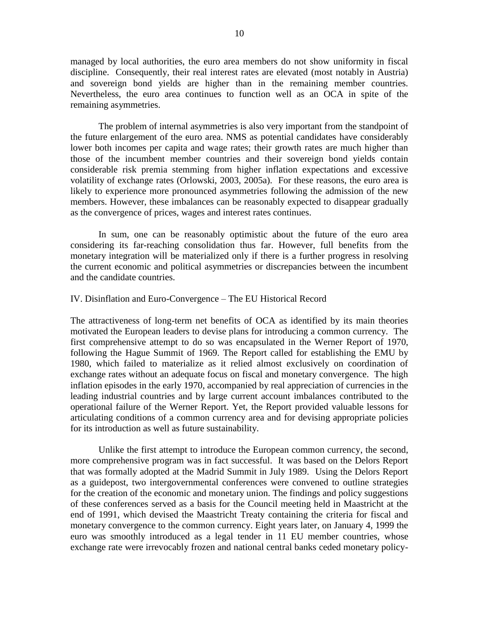managed by local authorities, the euro area members do not show uniformity in fiscal discipline. Consequently, their real interest rates are elevated (most notably in Austria) and sovereign bond yields are higher than in the remaining member countries. Nevertheless, the euro area continues to function well as an OCA in spite of the remaining asymmetries.

The problem of internal asymmetries is also very important from the standpoint of the future enlargement of the euro area. NMS as potential candidates have considerably lower both incomes per capita and wage rates; their growth rates are much higher than those of the incumbent member countries and their sovereign bond yields contain considerable risk premia stemming from higher inflation expectations and excessive volatility of exchange rates (Orlowski, 2003, 2005a). For these reasons, the euro area is likely to experience more pronounced asymmetries following the admission of the new members. However, these imbalances can be reasonably expected to disappear gradually as the convergence of prices, wages and interest rates continues.

In sum, one can be reasonably optimistic about the future of the euro area considering its far-reaching consolidation thus far. However, full benefits from the monetary integration will be materialized only if there is a further progress in resolving the current economic and political asymmetries or discrepancies between the incumbent and the candidate countries.

#### IV. Disinflation and Euro-Convergence – The EU Historical Record

The attractiveness of long-term net benefits of OCA as identified by its main theories motivated the European leaders to devise plans for introducing a common currency. The first comprehensive attempt to do so was encapsulated in the Werner Report of 1970, following the Hague Summit of 1969. The Report called for establishing the EMU by 1980, which failed to materialize as it relied almost exclusively on coordination of exchange rates without an adequate focus on fiscal and monetary convergence. The high inflation episodes in the early 1970, accompanied by real appreciation of currencies in the leading industrial countries and by large current account imbalances contributed to the operational failure of the Werner Report. Yet, the Report provided valuable lessons for articulating conditions of a common currency area and for devising appropriate policies for its introduction as well as future sustainability.

Unlike the first attempt to introduce the European common currency, the second, more comprehensive program was in fact successful. It was based on the Delors Report that was formally adopted at the Madrid Summit in July 1989. Using the Delors Report as a guidepost, two intergovernmental conferences were convened to outline strategies for the creation of the economic and monetary union. The findings and policy suggestions of these conferences served as a basis for the Council meeting held in Maastricht at the end of 1991, which devised the Maastricht Treaty containing the criteria for fiscal and monetary convergence to the common currency. Eight years later, on January 4, 1999 the euro was smoothly introduced as a legal tender in 11 EU member countries, whose exchange rate were irrevocably frozen and national central banks ceded monetary policy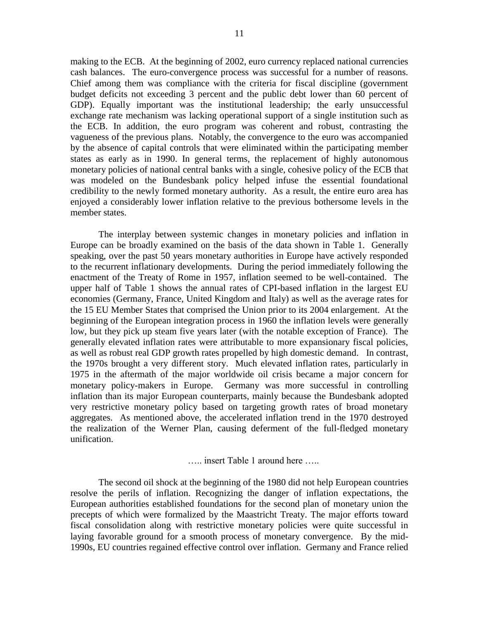making to the ECB. At the beginning of 2002, euro currency replaced national currencies cash balances. The euro-convergence process was successful for a number of reasons. Chief among them was compliance with the criteria for fiscal discipline (government budget deficits not exceeding 3 percent and the public debt lower than 60 percent of GDP). Equally important was the institutional leadership; the early unsuccessful exchange rate mechanism was lacking operational support of a single institution such as the ECB. In addition, the euro program was coherent and robust, contrasting the vagueness of the previous plans. Notably, the convergence to the euro was accompanied by the absence of capital controls that were eliminated within the participating member states as early as in 1990. In general terms, the replacement of highly autonomous monetary policies of national central banks with a single, cohesive policy of the ECB that was modeled on the Bundesbank policy helped infuse the essential foundational credibility to the newly formed monetary authority. As a result, the entire euro area has enjoyed a considerably lower inflation relative to the previous bothersome levels in the member states.

The interplay between systemic changes in monetary policies and inflation in Europe can be broadly examined on the basis of the data shown in Table 1. Generally speaking, over the past 50 years monetary authorities in Europe have actively responded to the recurrent inflationary developments. During the period immediately following the enactment of the Treaty of Rome in 1957, inflation seemed to be well-contained. The upper half of Table 1 shows the annual rates of CPI-based inflation in the largest EU economies (Germany, France, United Kingdom and Italy) as well as the average rates for the 15 EU Member States that comprised the Union prior to its 2004 enlargement. At the beginning of the European integration process in 1960 the inflation levels were generally low, but they pick up steam five years later (with the notable exception of France). The generally elevated inflation rates were attributable to more expansionary fiscal policies, as well as robust real GDP growth rates propelled by high domestic demand. In contrast, the 1970s brought a very different story. Much elevated inflation rates, particularly in 1975 in the aftermath of the major worldwide oil crisis became a major concern for monetary policy-makers in Europe. Germany was more successful in controlling inflation than its major European counterparts, mainly because the Bundesbank adopted very restrictive monetary policy based on targeting growth rates of broad monetary aggregates. As mentioned above, the accelerated inflation trend in the 1970 destroyed the realization of the Werner Plan, causing deferment of the full-fledged monetary unification.

….. insert Table 1 around here …..

The second oil shock at the beginning of the 1980 did not help European countries resolve the perils of inflation. Recognizing the danger of inflation expectations, the European authorities established foundations for the second plan of monetary union the precepts of which were formalized by the Maastricht Treaty. The major efforts toward fiscal consolidation along with restrictive monetary policies were quite successful in laying favorable ground for a smooth process of monetary convergence. By the mid-1990s, EU countries regained effective control over inflation. Germany and France relied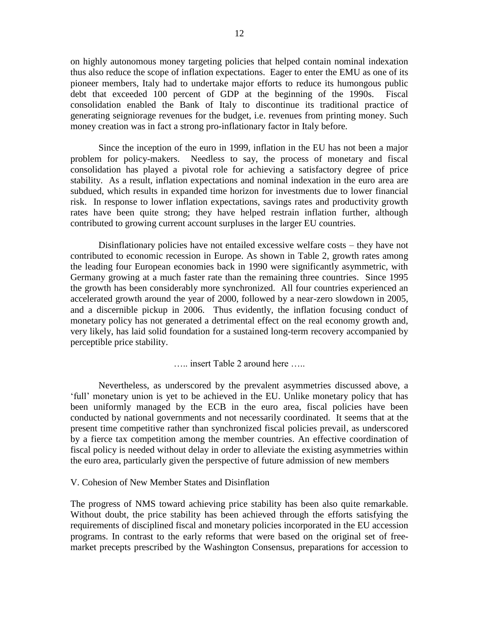on highly autonomous money targeting policies that helped contain nominal indexation thus also reduce the scope of inflation expectations. Eager to enter the EMU as one of its pioneer members, Italy had to undertake major efforts to reduce its humongous public debt that exceeded 100 percent of GDP at the beginning of the 1990s. Fiscal consolidation enabled the Bank of Italy to discontinue its traditional practice of generating seigniorage revenues for the budget, i.e. revenues from printing money. Such money creation was in fact a strong pro-inflationary factor in Italy before.

Since the inception of the euro in 1999, inflation in the EU has not been a major problem for policy-makers. Needless to say, the process of monetary and fiscal consolidation has played a pivotal role for achieving a satisfactory degree of price stability. As a result, inflation expectations and nominal indexation in the euro area are subdued, which results in expanded time horizon for investments due to lower financial risk. In response to lower inflation expectations, savings rates and productivity growth rates have been quite strong; they have helped restrain inflation further, although contributed to growing current account surpluses in the larger EU countries.

Disinflationary policies have not entailed excessive welfare costs – they have not contributed to economic recession in Europe. As shown in Table 2, growth rates among the leading four European economies back in 1990 were significantly asymmetric, with Germany growing at a much faster rate than the remaining three countries. Since 1995 the growth has been considerably more synchronized. All four countries experienced an accelerated growth around the year of 2000, followed by a near-zero slowdown in 2005, and a discernible pickup in 2006. Thus evidently, the inflation focusing conduct of monetary policy has not generated a detrimental effect on the real economy growth and, very likely, has laid solid foundation for a sustained long-term recovery accompanied by perceptible price stability.

….. insert Table 2 around here …..

Nevertheless, as underscored by the prevalent asymmetries discussed above, a 'full' monetary union is yet to be achieved in the EU. Unlike monetary policy that has been uniformly managed by the ECB in the euro area, fiscal policies have been conducted by national governments and not necessarily coordinated. It seems that at the present time competitive rather than synchronized fiscal policies prevail, as underscored by a fierce tax competition among the member countries. An effective coordination of fiscal policy is needed without delay in order to alleviate the existing asymmetries within the euro area, particularly given the perspective of future admission of new members

#### V. Cohesion of New Member States and Disinflation

The progress of NMS toward achieving price stability has been also quite remarkable. Without doubt, the price stability has been achieved through the efforts satisfying the requirements of disciplined fiscal and monetary policies incorporated in the EU accession programs. In contrast to the early reforms that were based on the original set of freemarket precepts prescribed by the Washington Consensus, preparations for accession to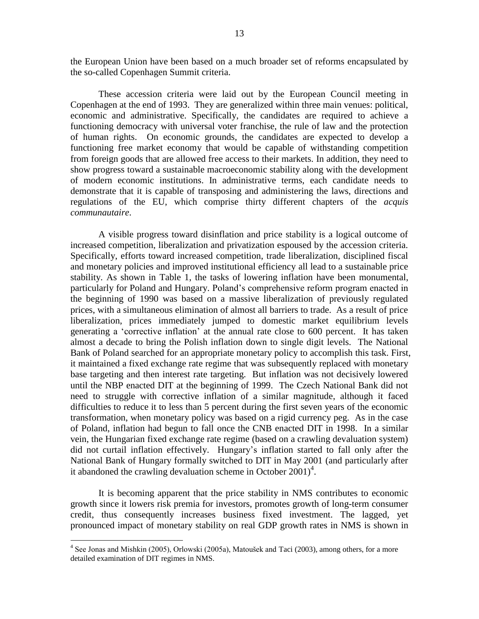the European Union have been based on a much broader set of reforms encapsulated by the so-called Copenhagen Summit criteria.

These accession criteria were laid out by the European Council meeting in Copenhagen at the end of 1993. They are generalized within three main venues: political, economic and administrative. Specifically, the candidates are required to achieve a functioning democracy with universal voter franchise, the rule of law and the protection of human rights. On economic grounds, the candidates are expected to develop a functioning free market economy that would be capable of withstanding competition from foreign goods that are allowed free access to their markets. In addition, they need to show progress toward a sustainable macroeconomic stability along with the development of modern economic institutions. In administrative terms, each candidate needs to demonstrate that it is capable of transposing and administering the laws, directions and regulations of the EU, which comprise thirty different chapters of the *acquis communautaire*.

A visible progress toward disinflation and price stability is a logical outcome of increased competition, liberalization and privatization espoused by the accession criteria. Specifically, efforts toward increased competition, trade liberalization, disciplined fiscal and monetary policies and improved institutional efficiency all lead to a sustainable price stability. As shown in Table 1, the tasks of lowering inflation have been monumental, particularly for Poland and Hungary. Poland's comprehensive reform program enacted in the beginning of 1990 was based on a massive liberalization of previously regulated prices, with a simultaneous elimination of almost all barriers to trade. As a result of price liberalization, prices immediately jumped to domestic market equilibrium levels generating a 'corrective inflation' at the annual rate close to 600 percent. It has taken almost a decade to bring the Polish inflation down to single digit levels. The National Bank of Poland searched for an appropriate monetary policy to accomplish this task. First, it maintained a fixed exchange rate regime that was subsequently replaced with monetary base targeting and then interest rate targeting. But inflation was not decisively lowered until the NBP enacted DIT at the beginning of 1999. The Czech National Bank did not need to struggle with corrective inflation of a similar magnitude, although it faced difficulties to reduce it to less than 5 percent during the first seven years of the economic transformation, when monetary policy was based on a rigid currency peg. As in the case of Poland, inflation had begun to fall once the CNB enacted DIT in 1998. In a similar vein, the Hungarian fixed exchange rate regime (based on a crawling devaluation system) did not curtail inflation effectively. Hungary's inflation started to fall only after the National Bank of Hungary formally switched to DIT in May 2001 (and particularly after it abandoned the crawling devaluation scheme in October  $2001$ <sup>4</sup>.

It is becoming apparent that the price stability in NMS contributes to economic growth since it lowers risk premia for investors, promotes growth of long-term consumer credit, thus consequently increases business fixed investment. The lagged, yet pronounced impact of monetary stability on real GDP growth rates in NMS is shown in

 $\overline{a}$ 

<sup>&</sup>lt;sup>4</sup> See Jonas and Mishkin (2005), Orlowski (2005a), Matoušek and Taci (2003), among others, for a more detailed examination of DIT regimes in NMS.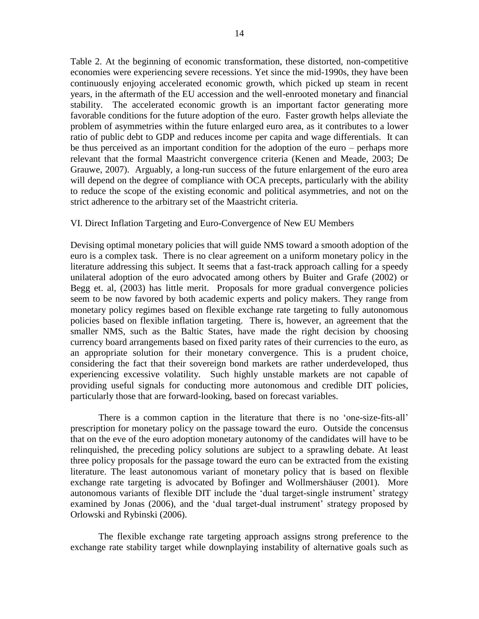Table 2. At the beginning of economic transformation, these distorted, non-competitive economies were experiencing severe recessions. Yet since the mid-1990s, they have been continuously enjoying accelerated economic growth, which picked up steam in recent years, in the aftermath of the EU accession and the well-enrooted monetary and financial stability. The accelerated economic growth is an important factor generating more favorable conditions for the future adoption of the euro. Faster growth helps alleviate the problem of asymmetries within the future enlarged euro area, as it contributes to a lower ratio of public debt to GDP and reduces income per capita and wage differentials. It can be thus perceived as an important condition for the adoption of the euro – perhaps more relevant that the formal Maastricht convergence criteria (Kenen and Meade, 2003; De Grauwe, 2007). Arguably, a long-run success of the future enlargement of the euro area will depend on the degree of compliance with OCA precepts, particularly with the ability to reduce the scope of the existing economic and political asymmetries, and not on the strict adherence to the arbitrary set of the Maastricht criteria.

#### VI. Direct Inflation Targeting and Euro-Convergence of New EU Members

Devising optimal monetary policies that will guide NMS toward a smooth adoption of the euro is a complex task. There is no clear agreement on a uniform monetary policy in the literature addressing this subject. It seems that a fast-track approach calling for a speedy unilateral adoption of the euro advocated among others by Buiter and Grafe (2002) or Begg et. al, (2003) has little merit. Proposals for more gradual convergence policies seem to be now favored by both academic experts and policy makers. They range from monetary policy regimes based on flexible exchange rate targeting to fully autonomous policies based on flexible inflation targeting. There is, however, an agreement that the smaller NMS, such as the Baltic States, have made the right decision by choosing currency board arrangements based on fixed parity rates of their currencies to the euro, as an appropriate solution for their monetary convergence. This is a prudent choice, considering the fact that their sovereign bond markets are rather underdeveloped, thus experiencing excessive volatility. Such highly unstable markets are not capable of providing useful signals for conducting more autonomous and credible DIT policies, particularly those that are forward-looking, based on forecast variables.

There is a common caption in the literature that there is no 'one-size-fits-all' prescription for monetary policy on the passage toward the euro. Outside the concensus that on the eve of the euro adoption monetary autonomy of the candidates will have to be relinquished, the preceding policy solutions are subject to a sprawling debate. At least three policy proposals for the passage toward the euro can be extracted from the existing literature. The least autonomous variant of monetary policy that is based on flexible exchange rate targeting is advocated by Bofinger and Wollmershäuser (2001). More autonomous variants of flexible DIT include the 'dual target-single instrument' strategy examined by Jonas (2006), and the 'dual target-dual instrument' strategy proposed by Orlowski and Rybinski (2006).

The flexible exchange rate targeting approach assigns strong preference to the exchange rate stability target while downplaying instability of alternative goals such as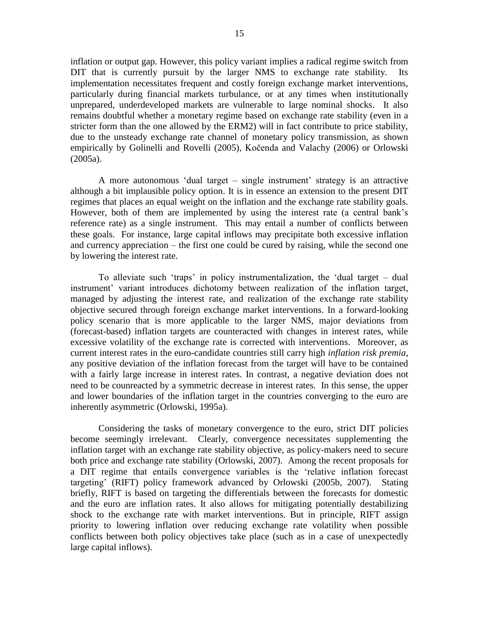inflation or output gap. However, this policy variant implies a radical regime switch from DIT that is currently pursuit by the larger NMS to exchange rate stability. Its implementation necessitates frequent and costly foreign exchange market interventions, particularly during financial markets turbulance, or at any times when institutionally unprepared, underdeveloped markets are vulnerable to large nominal shocks. It also remains doubtful whether a monetary regime based on exchange rate stability (even in a stricter form than the one allowed by the ERM2) will in fact contribute to price stability, due to the unsteady exchange rate channel of monetary policy transmission, as shown empirically by Golinelli and Rovelli (2005), Kočenda and Valachy (2006) or Orlowski (2005a).

A more autonomous 'dual target – single instrument' strategy is an attractive although a bit implausible policy option. It is in essence an extension to the present DIT regimes that places an equal weight on the inflation and the exchange rate stability goals. However, both of them are implemented by using the interest rate (a central bank's reference rate) as a single instrument. This may entail a number of conflicts between these goals. For instance, large capital inflows may precipitate both excessive inflation and currency appreciation – the first one could be cured by raising, while the second one by lowering the interest rate.

To alleviate such 'traps' in policy instrumentalization, the 'dual target – dual instrument' variant introduces dichotomy between realization of the inflation target, managed by adjusting the interest rate, and realization of the exchange rate stability objective secured through foreign exchange market interventions. In a forward-looking policy scenario that is more applicable to the larger NMS, major deviations from (forecast-based) inflation targets are counteracted with changes in interest rates, while excessive volatility of the exchange rate is corrected with interventions. Moreover, as current interest rates in the euro-candidate countries still carry high *inflation risk premia*, any positive deviation of the inflation forecast from the target will have to be contained with a fairly large increase in interest rates. In contrast, a negative deviation does not need to be counreacted by a symmetric decrease in interest rates. In this sense, the upper and lower boundaries of the inflation target in the countries converging to the euro are inherently asymmetric (Orlowski, 1995a).

Considering the tasks of monetary convergence to the euro, strict DIT policies become seemingly irrelevant. Clearly, convergence necessitates supplementing the inflation target with an exchange rate stability objective, as policy-makers need to secure both price and exchange rate stability (Orlowski, 2007). Among the recent proposals for a DIT regime that entails convergence variables is the 'relative inflation forecast targeting' (RIFT) policy framework advanced by Orlowski (2005b, 2007). Stating briefly, RIFT is based on targeting the differentials between the forecasts for domestic and the euro are inflation rates. It also allows for mitigating potentially destabilizing shock to the exchange rate with market interventions. But in principle, RIFT assign priority to lowering inflation over reducing exchange rate volatility when possible conflicts between both policy objectives take place (such as in a case of unexpectedly large capital inflows).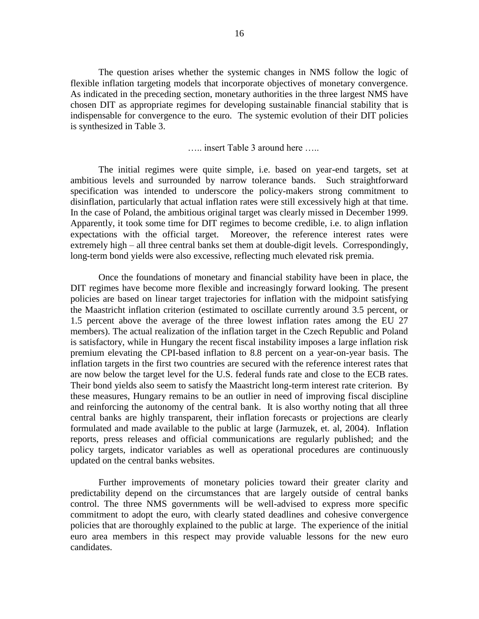The question arises whether the systemic changes in NMS follow the logic of flexible inflation targeting models that incorporate objectives of monetary convergence. As indicated in the preceding section, monetary authorities in the three largest NMS have chosen DIT as appropriate regimes for developing sustainable financial stability that is indispensable for convergence to the euro. The systemic evolution of their DIT policies is synthesized in Table 3.

….. insert Table 3 around here …..

The initial regimes were quite simple, i.e. based on year-end targets, set at ambitious levels and surrounded by narrow tolerance bands. Such straightforward specification was intended to underscore the policy-makers strong commitment to disinflation, particularly that actual inflation rates were still excessively high at that time. In the case of Poland, the ambitious original target was clearly missed in December 1999. Apparently, it took some time for DIT regimes to become credible, i.e. to align inflation expectations with the official target. Moreover, the reference interest rates were extremely high – all three central banks set them at double-digit levels. Correspondingly, long-term bond yields were also excessive, reflecting much elevated risk premia.

Once the foundations of monetary and financial stability have been in place, the DIT regimes have become more flexible and increasingly forward looking. The present policies are based on linear target trajectories for inflation with the midpoint satisfying the Maastricht inflation criterion (estimated to oscillate currently around 3.5 percent, or 1.5 percent above the average of the three lowest inflation rates among the EU 27 members). The actual realization of the inflation target in the Czech Republic and Poland is satisfactory, while in Hungary the recent fiscal instability imposes a large inflation risk premium elevating the CPI-based inflation to 8.8 percent on a year-on-year basis. The inflation targets in the first two countries are secured with the reference interest rates that are now below the target level for the U.S. federal funds rate and close to the ECB rates. Their bond yields also seem to satisfy the Maastricht long-term interest rate criterion. By these measures, Hungary remains to be an outlier in need of improving fiscal discipline and reinforcing the autonomy of the central bank. It is also worthy noting that all three central banks are highly transparent, their inflation forecasts or projections are clearly formulated and made available to the public at large (Jarmuzek, et. al, 2004). Inflation reports, press releases and official communications are regularly published; and the policy targets, indicator variables as well as operational procedures are continuously updated on the central banks websites.

Further improvements of monetary policies toward their greater clarity and predictability depend on the circumstances that are largely outside of central banks control. The three NMS governments will be well-advised to express more specific commitment to adopt the euro, with clearly stated deadlines and cohesive convergence policies that are thoroughly explained to the public at large. The experience of the initial euro area members in this respect may provide valuable lessons for the new euro candidates.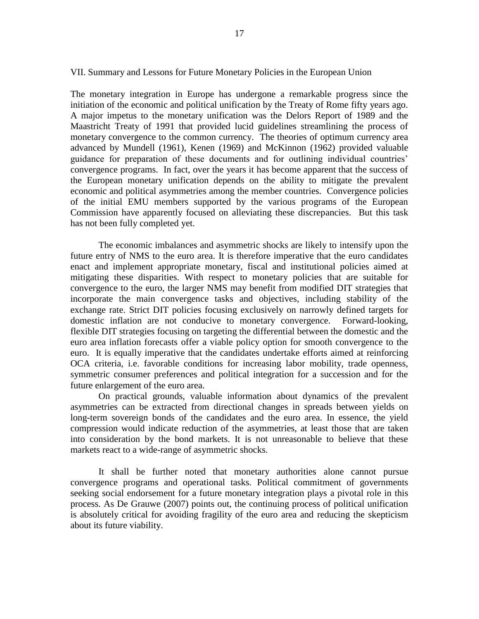VII. Summary and Lessons for Future Monetary Policies in the European Union

The monetary integration in Europe has undergone a remarkable progress since the initiation of the economic and political unification by the Treaty of Rome fifty years ago. A major impetus to the monetary unification was the Delors Report of 1989 and the Maastricht Treaty of 1991 that provided lucid guidelines streamlining the process of monetary convergence to the common currency. The theories of optimum currency area advanced by Mundell (1961), Kenen (1969) and McKinnon (1962) provided valuable guidance for preparation of these documents and for outlining individual countries' convergence programs. In fact, over the years it has become apparent that the success of the European monetary unification depends on the ability to mitigate the prevalent economic and political asymmetries among the member countries. Convergence policies of the initial EMU members supported by the various programs of the European Commission have apparently focused on alleviating these discrepancies. But this task has not been fully completed yet.

The economic imbalances and asymmetric shocks are likely to intensify upon the future entry of NMS to the euro area. It is therefore imperative that the euro candidates enact and implement appropriate monetary, fiscal and institutional policies aimed at mitigating these disparities. With respect to monetary policies that are suitable for convergence to the euro, the larger NMS may benefit from modified DIT strategies that incorporate the main convergence tasks and objectives, including stability of the exchange rate. Strict DIT policies focusing exclusively on narrowly defined targets for domestic inflation are not conducive to monetary convergence. Forward-looking, flexible DIT strategies focusing on targeting the differential between the domestic and the euro area inflation forecasts offer a viable policy option for smooth convergence to the euro. It is equally imperative that the candidates undertake efforts aimed at reinforcing OCA criteria, i.e. favorable conditions for increasing labor mobility, trade openness, symmetric consumer preferences and political integration for a succession and for the future enlargement of the euro area.

On practical grounds, valuable information about dynamics of the prevalent asymmetries can be extracted from directional changes in spreads between yields on long-term sovereign bonds of the candidates and the euro area. In essence, the yield compression would indicate reduction of the asymmetries, at least those that are taken into consideration by the bond markets. It is not unreasonable to believe that these markets react to a wide-range of asymmetric shocks.

It shall be further noted that monetary authorities alone cannot pursue convergence programs and operational tasks. Political commitment of governments seeking social endorsement for a future monetary integration plays a pivotal role in this process. As De Grauwe (2007) points out, the continuing process of political unification is absolutely critical for avoiding fragility of the euro area and reducing the skepticism about its future viability.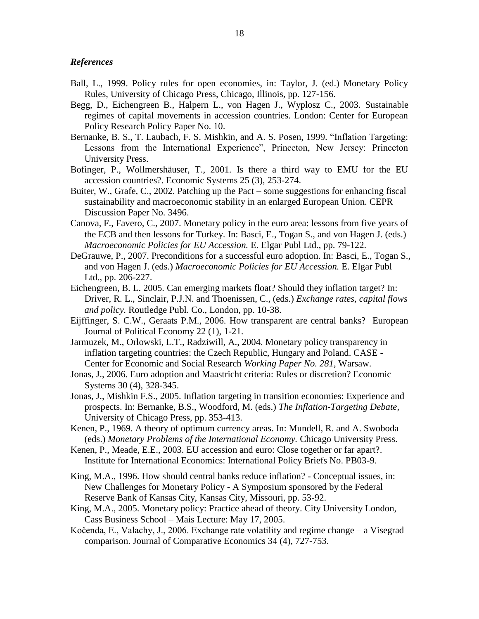#### *References*

- Ball, L., 1999. Policy rules for open economies, in: Taylor, J. (ed.) Monetary Policy Rules, University of Chicago Press, Chicago, Illinois, pp. 127-156.
- Begg, D., Eichengreen B., Halpern L., von Hagen J., Wyplosz C., 2003. Sustainable regimes of capital movements in accession countries. London: Center for European Policy Research Policy Paper No. 10.
- Bernanke, B. S., T. Laubach, F. S. Mishkin, and A. S. Posen, 1999. "Inflation Targeting: Lessons from the International Experience", Princeton, New Jersey: Princeton University Press.
- Bofinger, P., Wollmershäuser, T., 2001. Is there a third way to EMU for the EU accession countries?. Economic Systems 25 (3), 253-274.
- Buiter, W., Grafe, C., 2002. Patching up the Pact some suggestions for enhancing fiscal sustainability and macroeconomic stability in an enlarged European Union. CEPR Discussion Paper No. 3496.
- Canova, F., Favero, C., 2007. Monetary policy in the euro area: lessons from five years of the ECB and then lessons for Turkey. In: Basci, E., Togan S., and von Hagen J. (eds.) *Macroeconomic Policies for EU Accession.* E. Elgar Publ Ltd., pp. 79-122.
- DeGrauwe, P., 2007. Preconditions for a successful euro adoption. In: Basci, E., Togan S., and von Hagen J. (eds.) *Macroeconomic Policies for EU Accession.* E. Elgar Publ Ltd., pp. 206-227.
- Eichengreen, B. L. 2005. Can emerging markets float? Should they inflation target? In: Driver, R. L., Sinclair, P.J.N. and Thoenissen, C., (eds.) *Exchange rates, capital flows and policy.* Routledge Publ. Co., London, pp. 10-38.
- Eijffinger, S. C.W., Geraats P.M., 2006. How transparent are central banks? European Journal of Political Economy 22 (1), 1-21.
- Jarmuzek, M., Orlowski, L.T., Radziwill, A., 2004. Monetary policy transparency in inflation targeting countries: the Czech Republic, Hungary and Poland. CASE - Center for Economic and Social Research *Working Paper No. 281,* Warsaw.
- Jonas, J., 2006. Euro adoption and Maastricht criteria: Rules or discretion? Economic Systems 30 (4), 328-345.
- Jonas, J., Mishkin F.S., 2005. Inflation targeting in transition economies: Experience and prospects. In: Bernanke, B.S., Woodford, M. (eds.) *The Inflation-Targeting Debate,*  University of Chicago Press, pp. 353-413.
- Kenen, P., 1969. A theory of optimum currency areas. In: Mundell, R. and A. Swoboda (eds.) *Monetary Problems of the International Economy.* Chicago University Press.
- Kenen, P., Meade, E.E., 2003. EU accession and euro: Close together or far apart?. Institute for International Economics: International Policy Briefs No. PB03-9.
- King, M.A., 1996. How should central banks reduce inflation? Conceptual issues, in: New Challenges for Monetary Policy - A Symposium sponsored by the Federal Reserve Bank of Kansas City, Kansas City, Missouri, pp. 53-92.
- King, M.A., 2005. Monetary policy: Practice ahead of theory. City University London, Cass Business School – Mais Lecture: May 17, 2005.
- Kočenda, E., Valachy, J., 2006. Exchange rate volatility and regime change a Visegrad comparison. Journal of Comparative Economics 34 (4), 727-753.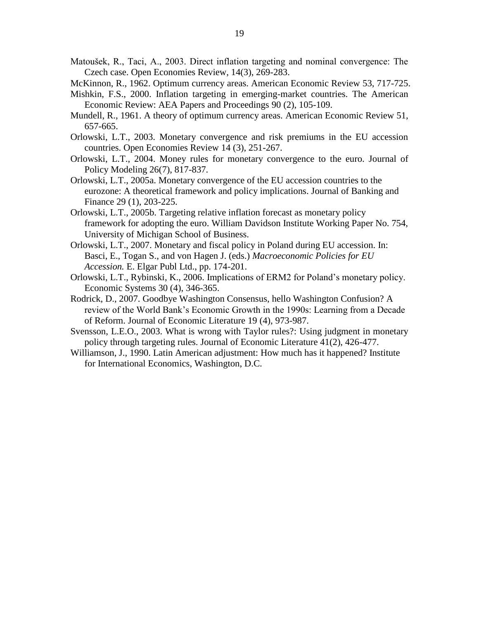Matoušek, R., Taci, A., 2003. Direct inflation targeting and nominal convergence: The Czech case. Open Economies Review, 14(3), 269-283.

McKinnon, R., 1962. Optimum currency areas. American Economic Review 53, 717-725.

- Mishkin, F.S., 2000. Inflation targeting in emerging-market countries. The American Economic Review: AEA Papers and Proceedings 90 (2), 105-109.
- Mundell, R., 1961. A theory of optimum currency areas. American Economic Review 51, 657-665.
- Orlowski, L.T., 2003. Monetary convergence and risk premiums in the EU accession countries. Open Economies Review 14 (3), 251-267.
- Orlowski, L.T., 2004. Money rules for monetary convergence to the euro. Journal of Policy Modeling 26(7), 817-837.
- Orlowski, L.T., 2005a. Monetary convergence of the EU accession countries to the eurozone: A theoretical framework and policy implications. Journal of Banking and Finance 29 (1), 203-225.
- Orlowski, L.T., 2005b. Targeting relative inflation forecast as monetary policy framework for adopting the euro. William Davidson Institute Working Paper No. 754, University of Michigan School of Business.
- Orlowski, L.T., 2007. Monetary and fiscal policy in Poland during EU accession. In: Basci, E., Togan S., and von Hagen J. (eds.) *Macroeconomic Policies for EU Accession.* E. Elgar Publ Ltd., pp. 174-201.
- Orlowski, L.T., Rybinski, K., 2006. Implications of ERM2 for Poland's monetary policy. Economic Systems 30 (4), 346-365.
- Rodrick, D., 2007. Goodbye Washington Consensus, hello Washington Confusion? A review of the World Bank's Economic Growth in the 1990s: Learning from a Decade of Reform. Journal of Economic Literature 19 (4), 973-987.
- Svensson, L.E.O., 2003. What is wrong with Taylor rules?: Using judgment in monetary policy through targeting rules. Journal of Economic Literature 41(2), 426-477.
- Williamson, J., 1990. Latin American adjustment: How much has it happened? Institute for International Economics, Washington, D.C.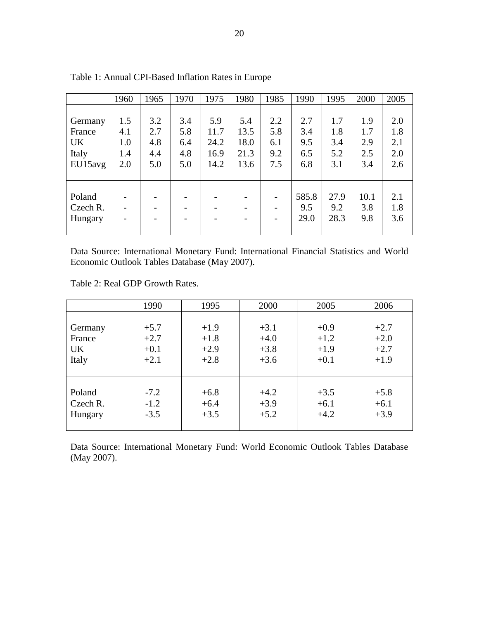|           | 1960 | 1965 | 1970 | 1975 | 1980 | 1985 | 1990  | 1995 | 2000 | 2005 |
|-----------|------|------|------|------|------|------|-------|------|------|------|
|           |      |      |      |      |      |      |       |      |      |      |
| Germany   | 1.5  | 3.2  | 3.4  | 5.9  | 5.4  | 2.2  | 2.7   | 1.7  | 1.9  | 2.0  |
| France    | 4.1  | 2.7  | 5.8  | 11.7 | 13.5 | 5.8  | 3.4   | 1.8  | 1.7  | 1.8  |
| <b>UK</b> | 1.0  | 4.8  | 6.4  | 24.2 | 18.0 | 6.1  | 9.5   | 3.4  | 2.9  | 2.1  |
| Italy     | 1.4  | 4.4  | 4.8  | 16.9 | 21.3 | 9.2  | 6.5   | 5.2  | 2.5  | 2.0  |
| EU15avg   | 2.0  | 5.0  | 5.0  | 14.2 | 13.6 | 7.5  | 6.8   | 3.1  | 3.4  | 2.6  |
|           |      |      |      |      |      |      |       |      |      |      |
|           |      |      |      |      |      |      |       |      |      |      |
| Poland    |      |      |      |      |      |      | 585.8 | 27.9 | 10.1 | 2.1  |
| Czech R.  |      |      |      |      |      |      | 9.5   | 9.2  | 3.8  | 1.8  |
| Hungary   |      |      |      |      |      |      | 29.0  | 28.3 | 9.8  | 3.6  |
|           |      |      |      |      |      |      |       |      |      |      |

Table 1: Annual CPI-Based Inflation Rates in Europe

Data Source: International Monetary Fund: International Financial Statistics and World Economic Outlook Tables Database (May 2007).

Table 2: Real GDP Growth Rates.

|           | 1990   | 1995   | 2000   | 2005   | 2006   |
|-----------|--------|--------|--------|--------|--------|
| Germany   | $+5.7$ | $+1.9$ | $+3.1$ | $+0.9$ | $+2.7$ |
| France    | $+2.7$ | $+1.8$ | $+4.0$ | $+1.2$ | $+2.0$ |
| <b>UK</b> | $+0.1$ | $+2.9$ | $+3.8$ | $+1.9$ | $+2.7$ |
| Italy     | $+2.1$ | $+2.8$ | $+3.6$ | $+0.1$ | $+1.9$ |
| Poland    | $-7.2$ | $+6.8$ | $+4.2$ | $+3.5$ | $+5.8$ |
| Czech R.  | $-1.2$ | $+6.4$ | $+3.9$ | $+6.1$ | $+6.1$ |
| Hungary   | $-3.5$ | $+3.5$ | $+5.2$ | $+4.2$ | $+3.9$ |

Data Source: International Monetary Fund: World Economic Outlook Tables Database (May 2007).